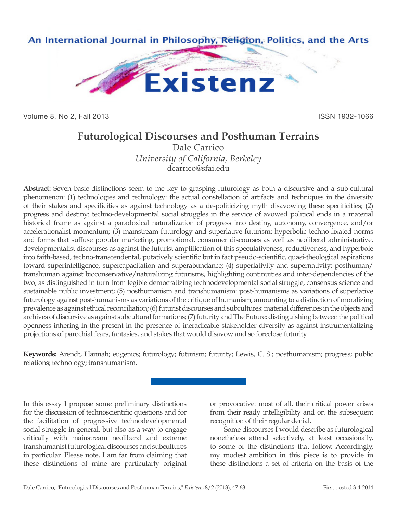

Volume 8, No 2, Fall 2013 **ISSN 1932-1066** 

# **Futurological Discourses and Posthuman Terrains**

Dale Carrico *University of California, Berkeley* dcarrico@sfai.edu

**Abstract:** Seven basic distinctions seem to me key to grasping futurology as both a discursive and a sub-cultural phenomenon: (1) technologies and technology: the actual constellation of artifacts and techniques in the diversity of their stakes and specificities as against technology as a de-politicizing myth disavowing these specificities; (2) progress and destiny: techno-developmental social struggles in the service of avowed political ends in a material historical frame as against a paradoxical naturalization of progress into destiny, autonomy, convergence, and/or accelerationalist momentum; (3) mainstream futurology and superlative futurism: hyperbolic techno-fixated norms and forms that suffuse popular marketing, promotional, consumer discourses as well as neoliberal administrative, developmentalist discourses as against the futurist amplification of this speculativeness, reductiveness, and hyperbole into faith-based, techno-transcendental, putatively scientific but in fact pseudo-scientific, quasi-theological aspirations toward superintelligence, supercapacitation and superabundance; (4) superlativity and supernativity: posthuman/ transhuman against bioconservative/naturalizing futurisms, highlighting continuities and inter-dependencies of the two, as distinguished in turn from legible democratizing technodevelopmental social struggle, consensus science and sustainable public investment; (5) posthumanism and transhumanism: post-humanisms as variations of superlative futurology against post-humanisms as variations of the critique of humanism, amounting to a distinction of moralizing prevalence as against ethical reconciliation; (6) futurist discourses and subcultures: material differences in the objects and archives of discursive as against subcultural formations; (7) futurity and The Future: distinguishing between the political openness inhering in the present in the presence of ineradicable stakeholder diversity as against instrumentalizing projections of parochial fears, fantasies, and stakes that would disavow and so foreclose futurity.

**Keywords:** Arendt, Hannah; eugenics; futurology; futurism; futurity; Lewis, C. S.; posthumanism; progress; public relations; technology; transhumanism.

In this essay I propose some preliminary distinctions for the discussion of technoscientific questions and for the facilitation of progressive technodevelopmental social struggle in general, but also as a way to engage critically with mainstream neoliberal and extreme transhumanist futurological discourses and subcultures in particular. Please note, I am far from claiming that these distinctions of mine are particularly original

or provocative: most of all, their critical power arises from their ready intelligibility and on the subsequent recognition of their regular denial.

Some discourses I would describe as futurological nonetheless attend selectively, at least occasionally, to some of the distinctions that follow. Accordingly, my modest ambition in this piece is to provide in these distinctions a set of criteria on the basis of the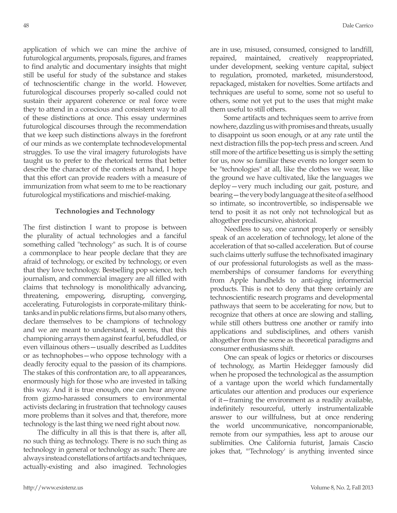application of which we can mine the archive of futurological arguments, proposals, figures, and frames to find analytic and documentary insights that might still be useful for study of the substance and stakes of technoscientific change in the world. However, futurological discourses properly so-called could not sustain their apparent coherence or real force were they to attend in a conscious and consistent way to all of these distinctions at once. This essay undermines futurological discourses through the recommendation that we keep such distinctions always in the forefront of our minds as we contemplate technodevelopmental struggles. To use the viral imagery futurologists have taught us to prefer to the rhetorical terms that better describe the character of the contests at hand, I hope that this effort can provide readers with a measure of

### **Technologies and Technology**

immunization from what seem to me to be reactionary futurological mystifications and mischief-making.

The first distinction I want to propose is between the plurality of actual technologies and a fanciful something called "technology" as such. It is of course a commonplace to hear people declare that they are afraid of technology, or excited by technology, or even that they love technology. Bestselling pop science, tech journalism, and commercial imagery are all filled with claims that technology is monolithically advancing, threatening, empowering, disrupting, converging, accelerating. Futurologists in corporate-military thinktanks and in public relations firms, but also many others, declare themselves to be champions of technology and we are meant to understand, it seems, that this championing arrays them against fearful, befuddled, or even villainous others—usually described as Luddites or as technophobes—who oppose technology with a deadly ferocity equal to the passion of its champions. The stakes of this confrontation are, to all appearances, enormously high for those who are invested in talking this way. And it is true enough, one can hear anyone from gizmo-harassed consumers to environmental activists declaring in frustration that technology causes more problems than it solves and that, therefore, more technology is the last thing we need right about now.

The difficulty in all this is that there is, after all, no such thing as technology. There is no such thing as technology in general or technology as such: There are always instead constellations of artifacts and techniques, actually-existing and also imagined. Technologies

are in use, misused, consumed, consigned to landfill, repaired, maintained, creatively reappropriated, under development, seeking venture capital, subject to regulation, promoted, marketed, misunderstood, repackaged, mistaken for novelties. Some artifacts and techniques are useful to some, some not so useful to others, some not yet put to the uses that might make them useful to still others.

Some artifacts and techniques seem to arrive from nowhere, dazzling us with promises and threats, usually to disappoint us soon enough, or at any rate until the next distraction fills the pop-tech press and screen. And still more of the artifice besetting us is simply the setting for us, now so familiar these events no longer seem to be "technologies" at all, like the clothes we wear, like the ground we have cultivated, like the languages we deploy—very much including our gait, posture, and bearing—the very body language at the site of a selfhood so intimate, so incontrovertible, so indispensable we tend to posit it as not only not technological but as altogether prediscursive, ahistorical.

Needless to say, one cannot properly or sensibly speak of an acceleration of technology, let alone of the acceleration of that so-called acceleration. But of course such claims utterly suffuse the technofixated imaginary of our professional futurologists as well as the massmemberships of consumer fandoms for everything from Apple handhelds to anti-aging informercial products. This is not to deny that there certainly are technoscientific research programs and developmental pathways that seem to be accelerating for now, but to recognize that others at once are slowing and stalling, while still others buttress one another or ramify into applications and subdisciplines, and others vanish altogether from the scene as theoretical paradigms and consumer enthusiasms shift.

One can speak of logics or rhetorics or discourses of technology, as Martin Heidegger famously did when he proposed the technological as the assumption of a vantage upon the world which fundamentally articulates our attention and produces our experience of it—framing the environment as a readily available, indefinitely resourceful, utterly instrumentalizable answer to our willfulness, but at once rendering the world uncommunicative, noncompanionable, remote from our sympathies, less apt to arouse our sublimities. One California futurist, Jamais Cascio jokes that, "'Technology' is anything invented since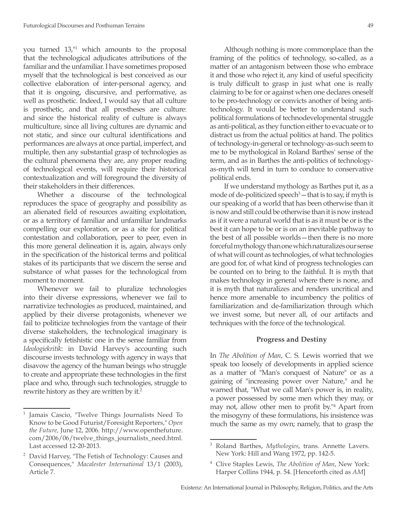you turned 13,"<sup>1</sup> which amounts to the proposal that the technological adjudicates attributions of the familiar and the unfamiliar. I have sometimes proposed myself that the technological is best conceived as our collective elaboration of inter-personal agency, and that it is ongoing, discursive, and performative, as well as prosthetic. Indeed, I would say that all culture is prosthetic, and that all prostheses are culture: and since the historical reality of culture is always multiculture, since all living cultures are dynamic and not static, and since our cultural identifications and performances are always at once partial, imperfect, and multiple, then any substantial grasp of technologies as the cultural phenomena they are, any proper reading of technological events, will require their historical contextualization and will foreground the diversity of their stakeholders in their differences.

Whether a discourse of the technological reproduces the space of geography and possibility as an alienated field of resources awaiting exploitation, or as a territory of familiar and unfamiliar landmarks compelling our exploration, or as a site for political contestation and collaboration, peer to peer, even in this more general delineation it is, again, always only in the specification of the historical terms and political stakes of its participants that we discern the sense and substance of what passes for the technological from moment to moment.

Whenever we fail to pluralize technologies into their diverse expressions, whenever we fail to narrativize technologies as produced, maintained, and applied by their diverse protagonists, whenever we fail to politicize technologies from the vantage of their diverse stakeholders, the technological imaginary is a specifically fetishistic one in the sense familiar from *Ideologiekritik*: in David Harvey's accounting such discourse invests technology with agency in ways that disavow the agency of the human beings who struggle to create and appropriate these technologies in the first place and who, through such technologies, struggle to rewrite history as they are written by it.<sup>2</sup>

Although nothing is more commonplace than the framing of the politics of technology, so-called, as a matter of an antagonism between those who embrace it and those who reject it, any kind of useful specificity is truly difficult to grasp in just what one is really claiming to be for or against when one declares oneself to be pro-technology or convicts another of being antitechnology. It would be better to understand such political formulations of technodevelopmental struggle as anti-political, as they function either to evacuate or to distract us from the actual politics at hand. The politics of technology-in-general or technology-as-such seem to me to be mythological in Roland Barthes' sense of the term, and as in Barthes the anti-politics of technologyas-myth will tend in turn to conduce to conservative political ends.

If we understand mythology as Barthes put it, as a mode of de-politicized speech<sup>3</sup> — that is to say, if myth is our speaking of a world that has been otherwise than it is now and still could be otherwise than it is now instead as if it were a natural world that is as it must be or is the best it can hope to be or is on an inevitable pathway to the best of all possible worlds—then there is no more forceful mythology than one which naturalizes our sense of what will count as technologies, of what technologies are good for, of what kind of progress technologies can be counted on to bring to the faithful. It is myth that makes technology in general where there is none, and it is myth that naturalizes and renders uncritical and hence more amenable to incumbency the politics of familiarization and de-familiarization through which we invest some, but never all, of our artifacts and techniques with the force of the technological.

### **Progress and Destiny**

In *The Abolition of Man*, C. S. Lewis worried that we speak too loosely of developments in applied science as a matter of "Man's conquest of Nature" or as a gaining of "increasing power over Nature," and he warned that, "What we call Man's power is, in reality, a power possessed by some men which they may, or may not, allow other men to profit by."4 Apart from the misogyny of these formulations, his insistence was much the same as my own; namely, that to grasp the

<sup>1</sup> Jamais Cascio, "Twelve Things Journalists Need To Know to be Good Futurist/Foresight Reporters," *Open the Future*, June 12, 2006. http://www.openthefuture. com/2006/06/twelve\_things\_journalists\_need.html. Last accessed 12-20-2013.

<sup>2</sup> David Harvey, "The Fetish of Technology: Causes and Consequences," *Macalester International* 13/1 (2003), Article 7.

<sup>3</sup> Roland Barthes, *Mythologies*, trans. Annette Lavers. New York: Hill and Wang 1972, pp. 142-5.

<sup>4</sup> Clive Staples Lewis, *The Abolition of Man*, New York: Harper Collins 1944, p. 54. [Henceforth cited as *AM*]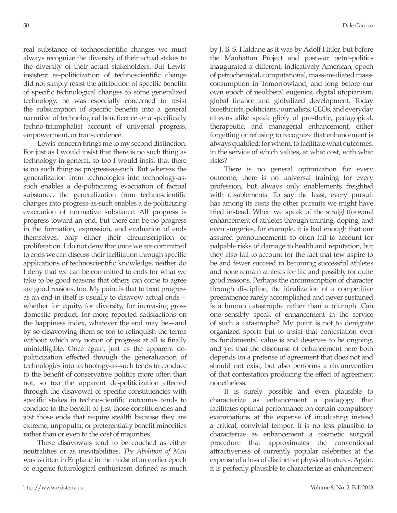real substance of technoscientific changes we must always recognize the diversity of their actual stakes to the diversity of their actual stakeholders. But Lewis' insistent re-politicization of technoscientific change did not simply resist the attribution of specific benefits of specific technological changes to some generalized technology, he was especially concerned to resist the subsumption of specific benefits into a general narrative of technological beneficence or a specifically techno-triumphalist account of universal progress, empowerment, or transcendence.

Lewis' concern brings me to my second distinction. For just as I would insist that there is no such thing as technology-in-general, so too I would insist that there is no such thing as progress-as-such. But whereas the generalization from technologies into technology-assuch enables a de-politicizing evacuation of factual substance, the generalization from technoscientific changes into progress-as-such enables a de-politicizing evacuation of normative substance. All progress is progress toward an end, but there can be no progress in the formation, expression, and evaluation of ends themselves, only either their circumscription or proliferation. I do not deny that once we are committed to ends we can discuss their facilitation through specific applications of technoscientific knowledge, neither do I deny that we can be committed to ends for what we take to be good reasons that others can come to agree are good reasons, too. My point is that to treat progress as an end-in-itself is usually to disavow actual ends whether for equity, for diversity, for increasing gross domestic product, for more reported satisfactions on the happiness index, whatever the end may be—and by so disavowing them so too to relinquish the terms without which any notion of progress at all is finally unintelligible. Once again, just as the apparent depoliticization effected through the generalization of technologies into technology-as-such tends to conduce to the benefit of conservative politics more often than not, so too the apparent de-politicization effected through the disavowal of specific constituencies with specific stakes in technoscientific outcomes tends to conduce to the benefit of just those constituencies and just those ends that require stealth because they are extreme, unpopular, or preferentially benefit minorities rather than or even to the cost of majorities.

These disavowals tend to be couched as either neutralities or as inevitabilities. *The Abolition of Man* was written in England in the midst of an earlier epoch of eugenic futurological enthusiasm defined as much by J. B. S. Haldane as it was by Adolf Hitler, but before the Manhattan Project and postwar petro-politics inaugurated a different, indicatively American, epoch of petrochemical, computational, mass-mediated massconsumption in Tomorrowland, and long before our own epoch of neoliberal eugenics, digital utopianism, global finance and globalized development. Today bioethicists, politicians, journalists, CEOs, and everyday citizens alike speak glibly of prosthetic, pedagogical, therapeutic, and managerial enhancement, either forgetting or refusing to recognize that enhancement is always qualified: for whom, to facilitate what outcomes, in the service of which values, at what cost, with what risks?

There is no general optimization for every outcome, there is no universal training for every profession, but always only enablements freighted with disablements. To say the least, every pursuit has among its costs the other pursuits we might have tried instead. When we speak of the straightforward enhancement of athletes through training, doping, and even surgeries, for example, it is bad enough that our assured pronouncements so often fail to account for palpable risks of damage to health and reputation, but they also fail to account for the fact that few aspire to be and fewer succeed in becoming successful athletes and none remain athletes for life and possibly for quite good reasons. Perhaps the circumscription of character through discipline, the idealization of a competitive preeminence rarely accomplished and never sustained is a human catastrophe rather than a triumph. Can one sensibly speak of enhancement in the service of such a catastrophe? My point is not to denigrate organized sports but to insist that contestation over its fundamental value is and deserves to be ongoing, and yet that the discourse of enhancement here both depends on a pretense of agreement that does not and should not exist, but also performs a circumvention of that contestation producing the effect of agreement nonetheless.

It is surely possible and even plausible to characterize as enhancement a pedagogy that facilitates optimal performance on certain compulsory examinations at the expense of inculcating instead a critical, convivial temper. It is no less plausible to characterize as enhancement a cosmetic surgical procedure that approximates the conventional attractiveness of currently popular celebrities at the expense of a loss of distinctive physical features. Again, it is perfectly plausible to characterize as enhancement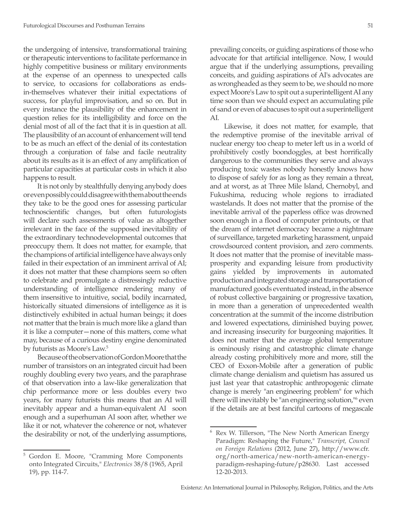the undergoing of intensive, transformational training or therapeutic interventions to facilitate performance in highly competitive business or military environments at the expense of an openness to unexpected calls to service, to occasions for collaborations as endsin-themselves whatever their initial expectations of success, for playful improvisation, and so on. But in every instance the plausibility of the enhancement in question relies for its intelligibility and force on the denial most of all of the fact that it is in question at all. The plausibility of an account of enhancement will tend to be as much an effect of the denial of its contestation through a conjuration of false and facile neutrality about its results as it is an effect of any amplification of particular capacities at particular costs in which it also happens to result.

It is not only by stealthfully denying anybody does or even possibly could disagree with them about the ends they take to be the good ones for assessing particular technoscientific changes, but often futurologists will declare such assessments of value as altogether irrelevant in the face of the supposed inevitability of the extraordinary technodevelopmental outcomes that preoccupy them. It does not matter, for example, that the champions of artificial intelligence have always only failed in their expectation of an imminent arrival of AI; it does not matter that these champions seem so often to celebrate and promulgate a distressingly reductive understanding of intelligence rendering many of them insensitive to intuitive, social, bodily incarnated, historically situated dimensions of intelligence as it is distinctively exhibited in actual human beings; it does not matter that the brain is much more like a gland than it is like a computer—none of this matters, come what may, because of a curious destiny engine denominated by futurists as Moore's Law.<sup>5</sup>

Because of the observation of Gordon Moore that the number of transistors on an integrated circuit had been roughly doubling every two years, and the paraphrase of that observation into a law-like generalization that chip performance more or less doubles every two years, for many futurists this means that an AI will inevitably appear and a human-equivalent AI soon enough and a superhuman AI soon after, whether we like it or not, whatever the coherence or not, whatever the desirability or not, of the underlying assumptions, prevailing conceits, or guiding aspirations of those who advocate for that artificial intelligence. Now, I would argue that if the underlying assumptions, prevailing conceits, and guiding aspirations of AI's advocates are as wrongheaded as they seem to be, we should no more expect Moore's Law to spit out a superintelligent AI any time soon than we should expect an accumulating pile of sand or even of abacuses to spit out a superintelligent AI.

Likewise, it does not matter, for example, that the redemptive promise of the inevitable arrival of nuclear energy too cheap to meter left us in a world of prohibitively costly boondoggles, at best horrifically dangerous to the communities they serve and always producing toxic wastes nobody honestly knows how to dispose of safely for as long as they remain a threat, and at worst, as at Three Mile Island, Chernobyl, and Fukushima, reducing whole regions to irradiated wastelands. It does not matter that the promise of the inevitable arrival of the paperless office was drowned soon enough in a flood of computer printouts, or that the dream of internet democracy became a nightmare of surveillance, targeted marketing harassment, unpaid crowdsourced content provision, and zero comments. It does not matter that the promise of inevitable massprosperity and expanding leisure from productivity gains yielded by improvements in automated production and integrated storage and transportation of manufactured goods eventuated instead, in the absence of robust collective bargaining or progressive taxation, in more than a generation of unprecedented wealth concentration at the summit of the income distribution and lowered expectations, diminished buying power, and increasing insecurity for burgeoning majorities. It does not matter that the average global temperature is ominously rising and catastrophic climate change already costing prohibitively more and more, still the CEO of Exxon-Mobile after a generation of public climate change denialism and quietism has assured us just last year that catastrophic anthropogenic climate change is merely "an engineering problem" for which there will inevitably be "an engineering solution,"<sup>6</sup> even if the details are at best fanciful cartoons of megascale

<sup>5</sup> Gordon E. Moore, "Cramming More Components onto Integrated Circuits," *Electronics* 38/8 (1965, April 19), pp. 114-7.

<sup>6</sup> Rex W. Tillerson, "The New North American Energy Paradigm: Reshaping the Future," *Transcript, Council on Foreign Relations* (2012, June 27), http://www.cfr. org/north-america/new-north-american-energyparadigm-reshaping-future/p28630. Last accessed 12-20-2013.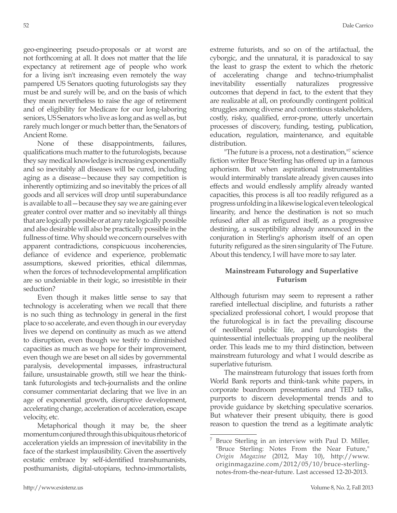geo-engineering pseudo-proposals or at worst are not forthcoming at all. It does not matter that the life expectancy at retirement age of people who work for a living isn't increasing even remotely the way pampered US Senators quoting futurologists say they must be and surely will be, and on the basis of which they mean nevertheless to raise the age of retirement and of eligibility for Medicare for our long-laboring seniors, US Senators who live as long and as well as, but rarely much longer or much better than, the Senators of Ancient Rome.

None of these disappointments, failures, qualifications much matter to the futurologists, because they say medical knowledge is increasing exponentially and so inevitably all diseases will be cured, including aging as a disease—because they say competition is inherently optimizing and so inevitably the prices of all goods and all services will drop until superabundance is available to all—because they say we are gaining ever greater control over matter and so inevitably all things that are logically possible or at any rate logically possible and also desirable will also be practically possible in the fullness of time. Why should we concern ourselves with apparent contradictions, conspicuous incoherencies, defiance of evidence and experience, problematic assumptions, skewed priorities, ethical dilemmas, when the forces of technodevelopmental amplification are so undeniable in their logic, so irresistible in their seduction?

Even though it makes little sense to say that technology is accelerating when we recall that there is no such thing as technology in general in the first place to so accelerate, and even though in our everyday lives we depend on continuity as much as we attend to disruption, even though we testify to diminished capacities as much as we hope for their improvement, even though we are beset on all sides by governmental paralysis, developmental impasses, infrastructural failure, unsustainable growth, still we hear the thinktank futurologists and tech-journalists and the online consumer commentariat declaring that we live in an age of exponential growth, disruptive development, accelerating change, acceleration of acceleration, escape velocity, etc.

Metaphorical though it may be, the sheer momentum conjured through this ubiquitous rhetoric of acceleration yields an impression of inevitability in the face of the starkest implausibility. Given the assertively ecstatic embrace by self-identified transhumanists, posthumanists, digital-utopians, techno-immortalists,

extreme futurists, and so on of the artifactual, the cyborgic, and the unnatural, it is paradoxical to say the least to grasp the extent to which the rhetoric of accelerating change and techno-triumphalist inevitability essentially naturalizes progressive outcomes that depend in fact, to the extent that they are realizable at all, on profoundly contingent political struggles among diverse and contentious stakeholders, costly, risky, qualified, error-prone, utterly uncertain processes of discovery, funding, testing, publication, education, regulation, maintenance, and equitable distribution.

"The future is a process, not a destination,"<sup>7</sup> science fiction writer Bruce Sterling has offered up in a famous aphorism. But when aspirational instrumentalities would interminably translate already given causes into effects and would endlessly amplify already wanted capacities, this process is all too readily refigured as a progress unfolding in a likewise logical even teleological linearity, and hence the destination is not so much refused after all as refigured itself, as a progressive destining, a susceptibility already announced in the conjuration in Sterling's aphorism itself of an open futurity refigured as the siren singularity of The Future. About this tendency, I will have more to say later.

# **Mainstream Futurology and Superlative Futurism**

Although futurism may seem to represent a rather rarefied intellectual discipline, and futurists a rather specialized professional cohort, I would propose that the futurological is in fact the prevailing discourse of neoliberal public life, and futurologists the quintessential intellectuals propping up the neoliberal order. This leads me to my third distinction, between mainstream futurology and what I would describe as superlative futurism.

The mainstream futurology that issues forth from World Bank reports and think-tank white papers, in corporate boardroom presentations and TED talks, purports to discern developmental trends and to provide guidance by sketching speculative scenarios. But whatever their present ubiquity, there is good reason to question the trend as a legitimate analytic

Bruce Sterling in an interview with Paul D. Miller, "Bruce Sterling: Notes From the Near Future," *Origin Magazine* (2012, May 10), http://www. originmagazine.com/2012/05/10/bruce-sterlingnotes-from-the-near-future. Last accessed 12-20-2013.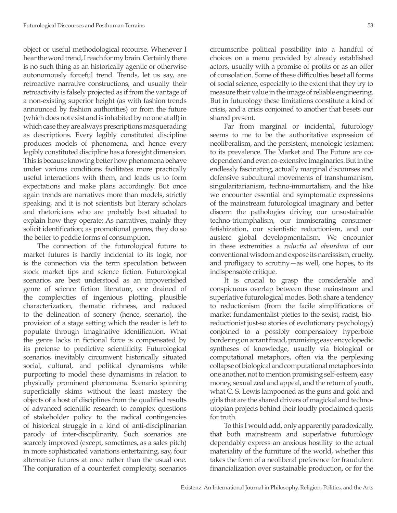object or useful methodological recourse. Whenever I hear the word trend, I reach for my brain. Certainly there is no such thing as an historically agentic or otherwise autonomously forceful trend. Trends, let us say, are retroactive narrative constructions, and usually their retroactivity is falsely projected as if from the vantage of a non-existing superior height (as with fashion trends announced by fashion authorities) or from the future (which does not exist and is inhabited by no one at all) in which case they are always prescriptions masquerading as descriptions. Every legibly constituted discipline produces models of phenomena, and hence every legibly constituted discipline has a foresight dimension. This is because knowing better how phenomena behave under various conditions facilitates more practically useful interactions with them, and leads us to form expectations and make plans accordingly. But once again trends are narratives more than models, strictly speaking, and it is not scientists but literary scholars and rhetoricians who are probably best situated to explain how they operate: As narratives, mainly they solicit identification; as promotional genres, they do so the better to peddle forms of consumption.

The connection of the futurological future to market futures is hardly incidental to its logic, nor is the connection via the term speculation between stock market tips and science fiction. Futurological scenarios are best understood as an impoverished genre of science fiction literature, one drained of the complexities of ingenious plotting, plausible characterization, thematic richness, and reduced to the delineation of scenery (hence, scenario), the provision of a stage setting which the reader is left to populate through imaginative identification. What the genre lacks in fictional force is compensated by its pretense to predictive scientificity. Futurological scenarios inevitably circumvent historically situated social, cultural, and political dynamisms while purporting to model these dynamisms in relation to physically prominent phenomena. Scenario spinning superficially skims without the least mastery the objects of a host of disciplines from the qualified results of advanced scientific research to complex questions of stakeholder policy to the radical contingencies of historical struggle in a kind of anti-disciplinarian parody of inter-disciplinarity. Such scenarios are scarcely improved (except, sometimes, as a sales pitch) in more sophisticated variations entertaining, say, four alternative futures at once rather than the usual one. The conjuration of a counterfeit complexity, scenarios

circumscribe political possibility into a handful of choices on a menu provided by already established actors, usually with a promise of profits or as an offer of consolation. Some of these difficulties beset all forms of social science, especially to the extent that they try to measure their value in the image of reliable engineering. But in futurology these limitations constitute a kind of crisis, and a crisis conjoined to another that besets our shared present.

Far from marginal or incidental, futurology seems to me to be the authoritative expression of neoliberalism, and the persistent, monologic testament to its prevalence. The Market and The Future are codependent and even co-extensive imaginaries. But in the endlessly fascinating, actually marginal discourses and defensive subcultural movements of transhumanism, singularitarianism, techno-immortalism, and the like we encounter essential and symptomatic expressions of the mainstream futurological imaginary and better discern the pathologies driving our unsustainable techno-triumphalism, our immiserating consumerfetishization, our scientistic reductionism, and our austere global developmentalism. We encounter in these extremities a *reductio ad absurdum* of our conventional wisdom and expose its narcissism, cruelty, and profligacy to scrutiny—as well, one hopes, to its indispensable critique.

It is crucial to grasp the considerable and conspicuous overlap between these mainstream and superlative futurological modes. Both share a tendency to reductionism (from the facile simplifications of market fundamentalist pieties to the sexist, racist, bioreductionist just-so stories of evolutionary psychology) conjoined to a possibly compensatory hyperbole bordering on arrant fraud, promising easy encyclopedic syntheses of knowledge, usually via biological or computational metaphors, often via the perplexing collapse of biological and computational metaphors into one another, not to mention promising self-esteem, easy money, sexual zeal and appeal, and the return of youth, what C. S. Lewis lampooned as the guns and gold and girls that are the shared drivers of magickal and technoutopian projects behind their loudly proclaimed quests for truth.

To this I would add, only apparently paradoxically, that both mainstream and superlative futurology dependably express an anxious hostility to the actual materiality of the furniture of the world, whether this takes the form of a neoliberal preference for fraudulent financialization over sustainable production, or for the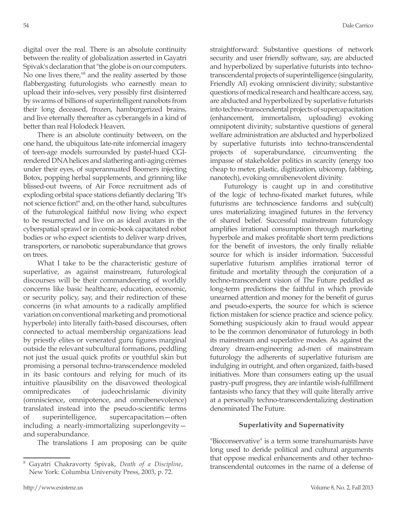digital over the real. There is an absolute continuity between the reality of globalization asserted in Gayatri Spivak's declaration that "the globe is on our computers. No one lives there,<sup>18</sup> and the reality asserted by those flabbergasting futurologists who earnestly mean to upload their info-selves, very possibly first disinterred by swarms of billions of superintelligent nanobots from their long deceased, frozen, hamburgerized brains, and live eternally thereafter as cyberangels in a kind of better than real Holodeck Heaven.

There is an absolute continuity between, on the one hand, the ubiquitous late-nite infomercial imagery of teen-age models surrounded by pastel-hued CGIrendered DNA helices and slathering anti-aging crèmes under their eyes, of superannuated Boomers injecting Botox, popping herbal supplements, and grinning like blissed-out tweens, of Air Force recruitment ads of exploding orbital space stations defiantly declaring "It's not science fiction!" and, on the other hand, subcultures of the futurological faithful now living who expect to be resurrected and live on as ideal avatars in the cyberspatial sprawl or in comic-book capacitated robot bodies or who expect scientists to deliver warp drives, transporters, or nanobotic superabundance that grows on trees.

What I take to be the characteristic gesture of superlative, as against mainstream, futurological discourses will be their commandeering of worldly concerns like basic healthcare, education, economic, or security policy, say, and their redirection of these concerns (in what amounts to a radically amplified variation on conventional marketing and promotional hyperbole) into literally faith-based discourses, often connected to actual membership organizations lead by priestly elites or venerated guru figures marginal outside the relevant subcultural formations, peddling not just the usual quick profits or youthful skin but promising a personal techno-transcendence modeled in its basic contours and relying for much of its intuitive plausibility on the disavowed theological omnipredicates of judeochrislamic divinity (omniscience, omnipotence, and omnibenevolence) translated instead into the pseudo-scientific terms of superintelligence, supercapacitation—often including a nearly-immortalizing superlongevity and superabundance.

The translations I am proposing can be quite

straightforward: Substantive questions of network security and user friendly software, say, are abducted and hyperbolized by superlative futurists into technotranscendental projects of superintelligence (singularity, Friendly AI) evoking omniscient divinity; substantive questions of medical research and healthcare access, say, are abducted and hyperbolized by superlative futurists into techno-transcendental projects of supercapacitation (enhancement, immortalism, uploading) evoking omnipotent divinity; substantive questions of general welfare administration are abducted and hyperbolized by superlative futurists into techno-transcendental projects of superabundance, circumventing the impasse of stakeholder politics in scarcity (energy too cheap to meter, plastic, digitization, ubicomp, fabbing, nanotech), evoking omnibenevolent divinity.

Futurology is caught up in and constitutive of the logic of techno-fixated market futures, while futurisms are technoscience fandoms and sub(cult) ures materializing imagined futures in the fervency of shared belief. Successful mainstream futurology amplifies irrational consumption through marketing hyperbole and makes profitable short term predictions for the benefit of investors, the only finally reliable source for which is insider information. Successful superlative futurism amplifies irrational terror of finitude and mortality through the conjuration of a techno-transcendent vision of The Future peddled as long-term predictions the faithful in which provide unearned attention and money for the benefit of gurus and pseudo-experts, the source for which is science fiction mistaken for science practice and science policy. Something suspiciously akin to fraud would appear to be the common denominator of futurology in both its mainstream and superlative modes. As against the dreary dream-engineering ad-men of mainstream futurology the adherents of superlative futurism are indulging in outright, and often organized, faith-based initiatives. More than consumers eating up the usual pastry-puff progress, they are infantile wish-fulfillment fantasists who fancy that they will quite literally arrive at a personally techno-transcendentalizing destination denominated The Future.

# **Superlativity and Supernativity**

"Bioconservative" is a term some transhumanists have long used to deride political and cultural arguments that oppose medical enhancements and other technotranscendental outcomes in the name of a defense of

<sup>8</sup> Gayatri Chakravorty Spivak, *Death of a Discipline*, New York: Columbia University Press, 2003, p. 72.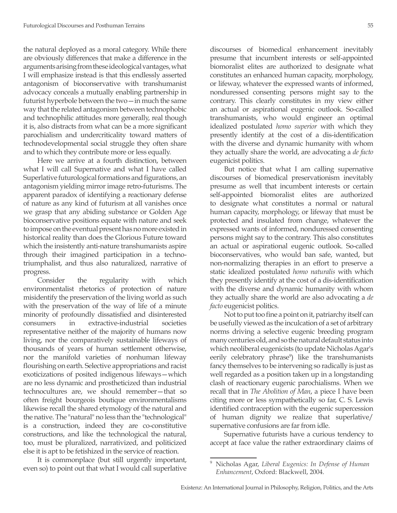the natural deployed as a moral category. While there are obviously differences that make a difference in the arguments arising from these ideological vantages, what I will emphasize instead is that this endlessly asserted antagonism of bioconservative with transhumanist advocacy conceals a mutually enabling partnership in futurist hyperbole between the two—in much the same way that the related antagonism between technophobic and technophilic attitudes more generally, real though it is, also distracts from what can be a more significant parochialism and undercriticality toward matters of technodevelopmental social struggle they often share and to which they contribute more or less equally.

Here we arrive at a fourth distinction, between what I will call Supernative and what I have called Superlative futurological formations and figurations, an antagonism yielding mirror image retro-futurisms. The apparent paradox of identifying a reactionary defense of nature as any kind of futurism at all vanishes once we grasp that any abiding substance or Golden Age bioconservative positions equate with nature and seek to impose on the eventual present has no more existed in historical reality than does the Glorious Future toward which the insistently anti-nature transhumanists aspire through their imagined participation in a technotriumphalist, and thus also naturalized, narrative of progress.

Consider the regularity with which environmentalist rhetorics of protection of nature misidentify the preservation of the living world as such with the preservation of the way of life of a minute minority of profoundly dissatisfied and disinterested consumers in extractive-industrial societies representative neither of the majority of humans now living, nor the comparatively sustainable lifeways of thousands of years of human settlement otherwise, nor the manifold varieties of nonhuman lifeway flourishing on earth. Selective appropriations and racist exoticizations of posited indigenous lifeways—which are no less dynamic and prostheticized than industrial technocultures are, we should remember—that so often freight bourgeois boutique environmentalisms likewise recall the shared etymology of the natural and the native. The "natural" no less than the "technological" is a construction, indeed they are co-constitutive constructions, and like the technological the natural, too, must be pluralized, narrativized, and politicized else it is apt to be fetishized in the service of reaction.

It is commonplace (but still urgently important, even so) to point out that what I would call superlative discourses of biomedical enhancement inevitably presume that incumbent interests or self-appointed biomoralist elites are authorized to designate what constitutes an enhanced human capacity, morphology, or lifeway, whatever the expressed wants of informed, nonduressed consenting persons might say to the contrary. This clearly constitutes in my view either an actual or aspirational eugenic outlook. So-called transhumanists, who would engineer an optimal idealized postulated *homo superior* with which they presently identify at the cost of a dis-identification with the diverse and dynamic humanity with whom they actually share the world, are advocating a *de facto* eugenicist politics.

But notice that what I am calling supernative discourses of biomedical preservationism inevitably presume as well that incumbent interests or certain self-appointed biomoralist elites are authorized to designate what constitutes a normal or natural human capacity, morphology, or lifeway that must be protected and insulated from change, whatever the expressed wants of informed, nonduressed consenting persons might say to the contrary. This also constitutes an actual or aspirational eugenic outlook. So-called bioconservatives, who would ban safe, wanted, but non-normalizing therapies in an effort to preserve a static idealized postulated *homo naturalis* with which they presently identify at the cost of a dis-identification with the diverse and dynamic humanity with whom they actually share the world are also advocating a *de facto* eugenicist politics.

Not to put too fine a point on it, patriarchy itself can be usefully viewed as the inculcation of a set of arbitrary norms driving a selective eugenic breeding program many centuries old, and so the natural default status into which neoliberal eugenicists (to update Nicholas Agar's eerily celebratory phrase<sup>9</sup>) like the transhumanists fancy themselves to be intervening so radically is just as well regarded as a position taken up in a longstanding clash of reactionary eugenic parochialisms. When we recall that in *The Abolition of Man*, a piece I have been citing more or less sympathetically so far, C. S. Lewis identified contraception with the eugenic supercession of human dignity we realize that superlative/ supernative confusions are far from idle.

Supernative futurists have a curious tendency to accept at face value the rather extraordinary claims of

<sup>9</sup> Nicholas Agar, *Liberal Eugenics: In Defense of Human Enhancement*, Oxford: Blackwell, 2004.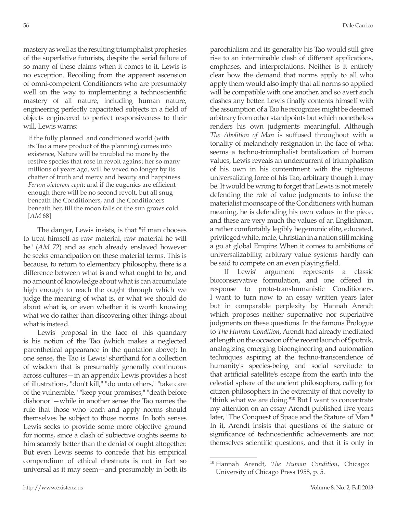mastery as well as the resulting triumphalist prophesies of the superlative futurists, despite the serial failure of so many of these claims when it comes to it. Lewis is no exception. Recoiling from the apparent ascension of omni-competent Conditioners who are presumably well on the way to implementing a technoscientific mastery of all nature, including human nature, engineering perfectly capacitated subjects in a field of objects engineered to perfect responsiveness to their will, Lewis warns:

If the fully planned and conditioned world (with its Tao a mere product of the planning) comes into existence, Nature will be troubled no more by the restive species that rose in revolt against her so many millions of years ago, will be vexed no longer by its chatter of truth and mercy and beauty and happiness. *Ferum victorem cepit*: and if the eugenics are efficient enough there will be no second revolt, but all snug beneath the Conditioners, and the Conditioners beneath her, till the moon falls or the sun grows cold. [*AM* 68]

The danger, Lewis insists, is that "if man chooses to treat himself as raw material, raw material he will be" (*AM* 72) and as such already enslaved however he seeks emancipation on these material terms. This is because, to return to elementary philosophy, there is a difference between what is and what ought to be, and no amount of knowledge about what is can accumulate high enough to reach the ought through which we judge the meaning of what is, or what we should do about what is, or even whether it is worth knowing what we do rather than discovering other things about what is instead.

Lewis' proposal in the face of this quandary is his notion of the Tao (which makes a neglected parenthetical appearance in the quotation above): In one sense, the Tao is Lewis' shorthand for a collection of wisdom that is presumably generally continuous across cultures—in an appendix Lewis provides a host of illustrations, "don't kill," "do unto others," "take care of the vulnerable," "keep your promises," "death before dishonor"—while in another sense the Tao names the rule that those who teach and apply norms should themselves be subject to those norms. In both senses Lewis seeks to provide some more objective ground for norms, since a clash of subjective oughts seems to him scarcely better than the denial of ought altogether. But even Lewis seems to concede that his empirical compendium of ethical chestnuts is not in fact so universal as it may seem—and presumably in both its parochialism and its generality his Tao would still give rise to an interminable clash of different applications, emphases, and interpretations. Neither is it entirely clear how the demand that norms apply to all who apply them would also imply that all norms so applied will be compatible with one another, and so avert such clashes any better. Lewis finally contents himself with the assumption of a Tao he recognizes might be deemed arbitrary from other standpoints but which nonetheless renders his own judgments meaningful. Although *The Abolition of Man* is suffused throughout with a tonality of melancholy resignation in the face of what seems a techno-triumphalist brutalization of human values, Lewis reveals an undercurrent of triumphalism of his own in his contentment with the righteous universalizing force of his Tao, arbitrary though it may be. It would be wrong to forget that Lewis is not merely defending the role of value judgments to infuse the materialist moonscape of the Conditioners with human meaning, he is defending his own values in the piece, and these are very much the values of an Englishman, a rather comfortably legibly hegemonic elite, educated, privileged white, male, Christian in a nation still making a go at global Empire: When it comes to ambitions of universalizability, arbitrary value systems hardly can be said to compete on an even playing field.

If Lewis' argument represents a classic bioconservative formulation, and one offered in response to proto-transhumanistic Conditioners, I want to turn now to an essay written years later but in comparable perplexity by Hannah Arendt which proposes neither supernative nor superlative judgments on these questions. In the famous Prologue to *The Human Condition*, Arendt had already meditated at length on the occasion of the recent launch of Sputnik, analogizing emerging bioengineering and automation techniques aspiring at the techno-transcendence of humanity's species-being and social servitude to that artificial satellite's escape from the earth into the celestial sphere of the ancient philosophers, calling for citizen-philosophers in the extremity of that novelty to "think what we are doing."10 But I want to concentrate my attention on an essay Arendt published five years later, "The Conquest of Space and the Stature of Man." In it, Arendt insists that questions of the stature or significance of technoscientific achievements are not themselves scientific questions, and that it is only in

<sup>10</sup> Hannah Arendt, *The Human Condition*, Chicago: University of Chicago Press 1958, p. 5.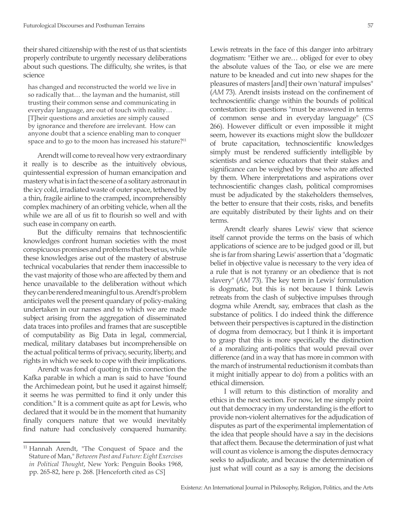their shared citizenship with the rest of us that scientists properly contribute to urgently necessary deliberations about such questions. The difficulty, she writes, is that science

has changed and reconstructed the world we live in so radically that… the layman and the humanist, still trusting their common sense and communicating in everyday language, are out of touch with reality… [T]heir questions and anxieties are simply caused by ignorance and therefore are irrelevant. How can anyone doubt that a science enabling man to conquer space and to go to the moon has increased his stature?<sup>11</sup>

Arendt will come to reveal how very extraordinary it really is to describe as the intuitively obvious, quintessential expression of human emancipation and mastery what is in fact the scene of a solitary astronaut in the icy cold, irradiated waste of outer space, tethered by a thin, fragile airline to the cramped, incomprehensibly complex machinery of an orbiting vehicle, when all the while we are all of us fit to flourish so well and with such ease in company on earth.

But the difficulty remains that technoscientific knowledges confront human societies with the most conspicuous promises and problems that beset us, while these knowledges arise out of the mastery of abstruse technical vocabularies that render them inaccessible to the vast majority of those who are affected by them and hence unavailable to the deliberation without which they can be rendered meaningful to us. Arendt's problem anticipates well the present quandary of policy-making undertaken in our names and to which we are made subject arising from the aggregation of disseminated data traces into profiles and frames that are susceptible of computability as Big Data in legal, commercial, medical, military databases but incomprehensible on the actual political terms of privacy, security, liberty, and rights in which we seek to cope with their implications.

Arendt was fond of quoting in this connection the Kafka parable in which a man is said to have "found the Archimedean point, but he used it against himself; it seems he was permitted to find it only under this condition." It is a comment quite as apt for Lewis, who declared that it would be in the moment that humanity finally conquers nature that we would inevitably find nature had conclusively conquered humanity. Lewis retreats in the face of this danger into arbitrary dogmatism: "Either we are… obliged for ever to obey the absolute values of the Tao, or else we are mere nature to be kneaded and cut into new shapes for the pleasures of masters [and] their own 'natural' impulses" (*AM* 73). Arendt insists instead on the confinement of technoscientific change within the bounds of political contestation: its questions "must be answered in terms of common sense and in everyday language" (*CS* 266). However difficult or even impossible it might seem, however its exactions might slow the bulldozer of brute capacitation, technoscientific knowledges simply must be rendered sufficiently intelligible by scientists and science educators that their stakes and significance can be weighed by those who are affected by them. Where interpretations and aspirations over technoscientific changes clash, political compromises must be adjudicated by the stakeholders themselves, the better to ensure that their costs, risks, and benefits are equitably distributed by their lights and on their terms.

Arendt clearly shares Lewis' view that science itself cannot provide the terms on the basis of which applications of science are to be judged good or ill, but she is far from sharing Lewis' assertion that a "dogmatic belief in objective value is necessary to the very idea of a rule that is not tyranny or an obedience that is not slavery" (*AM* 73). The key term in Lewis' formulation is dogmatic, but this is not because I think Lewis retreats from the clash of subjective impulses through dogma while Arendt, say, embraces that clash as the substance of politics. I do indeed think the difference between their perspectives is captured in the distinction of dogma from democracy, but I think it is important to grasp that this is more specifically the distinction of a moralizing anti-politics that would prevail over difference (and in a way that has more in common with the march of instrumental reductionism it combats than it might initially appear to do) from a politics with an ethical dimension.

I will return to this distinction of morality and ethics in the next section. For now, let me simply point out that democracy in my understanding is the effort to provide non-violent alternatives for the adjudication of disputes as part of the experimental implementation of the idea that people should have a say in the decisions that affect them. Because the determination of just what will count as violence is among the disputes democracy seeks to adjudicate, and because the determination of just what will count as a say is among the decisions

<sup>&</sup>lt;sup>11</sup> Hannah Arendt, "The Conquest of Space and the Stature of Man," *Between Past and Future: Eight Exercises in Political Thought*, New York: Penguin Books 1968, pp. 265-82, here p. 268. [Henceforth cited as *CS*]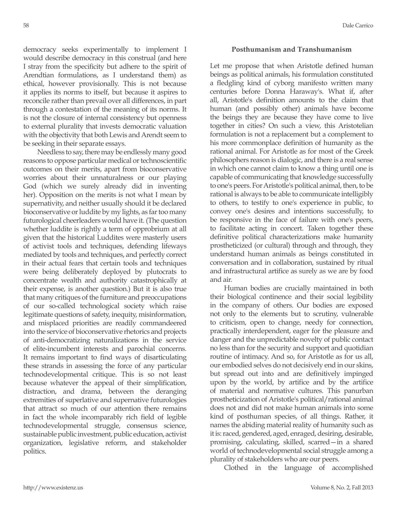democracy seeks experimentally to implement I would describe democracy in this construal (and here I stray from the specificity but adhere to the spirit of Arendtian formulations, as I understand them) as ethical, however provisionally. This is not because it applies its norms to itself, but because it aspires to reconcile rather than prevail over all differences, in part through a contestation of the meaning of its norms. It is not the closure of internal consistency but openness to external plurality that invests democratic valuation with the objectivity that both Lewis and Arendt seem to be seeking in their separate essays.

Needless to say, there may be endlessly many good reasons to oppose particular medical or technoscientific outcomes on their merits, apart from bioconservative worries about their unnaturalness or our playing God (which we surely already did in inventing her). Opposition on the merits is not what I mean by supernativity, and neither usually should it be declared bioconservative or luddite by my lights, as far too many futurological cheerleaders would have it. (The question whether luddite is rightly a term of opprobrium at all given that the historical Luddites were masterly users of activist tools and techniques, defending lifeways mediated by tools and techniques, and perfectly correct in their actual fears that certain tools and techniques were being deliberately deployed by plutocrats to concentrate wealth and authority catastrophically at their expense, is another question.) But it is also true that many critiques of the furniture and preoccupations of our so-called technological society which raise legitimate questions of safety, inequity, misinformation, and misplaced priorities are readily commandeered into the service of bioconservative rhetorics and projects of anti-democratizing naturalizations in the service of elite-incumbent interests and parochial concerns. It remains important to find ways of disarticulating these strands in assessing the force of any particular technodevelopmental critique. This is so not least because whatever the appeal of their simplification, distraction, and drama, between the deranging extremities of superlative and supernative futurologies that attract so much of our attention there remains in fact the whole incomparably rich field of legible technodevelopmental struggle, consensus science, sustainable public investment, public education, activist organization, legislative reform, and stakeholder politics.

## **Posthumanism and Transhumanism**

Let me propose that when Aristotle defined human beings as political animals, his formulation constituted a fledgling kind of cyborg manifesto written many centuries before Donna Haraway's. What if, after all, Aristotle's definition amounts to the claim that human (and possibly other) animals have become the beings they are because they have come to live together in cities? On such a view, this Aristotelian formulation is not a replacement but a complement to his more commonplace definition of humanity as the rational animal. For Aristotle as for most of the Greek philosophers reason is dialogic, and there is a real sense in which one cannot claim to know a thing until one is capable of communicating that knowledge successfully to one's peers. For Aristotle's political animal, then, to be rational is always to be able to communicate intelligibly to others, to testify to one's experience in public, to convey one's desires and intentions successfully, to be responsive in the face of failure with one's peers, to facilitate acting in concert. Taken together these definitive political characterizations make humanity prostheticized (or cultural) through and through, they understand human animals as beings constituted in conversation and in collaboration, sustained by ritual and infrastructural artifice as surely as we are by food and air.

Human bodies are crucially maintained in both their biological continence and their social legibility in the company of others. Our bodies are exposed not only to the elements but to scrutiny, vulnerable to criticism, open to change, needy for connection, practically interdependent, eager for the pleasure and danger and the unpredictable novelty of public contact no less than for the security and support and quotidian routine of intimacy. And so, for Aristotle as for us all, our embodied selves do not decisively end in our skins, but spread out into and are definitively impinged upon by the world, by artifice and by the artifice of material and normative cultures. This panurban prostheticization of Aristotle's political/rational animal does not and did not make human animals into some kind of posthuman species, of all things. Rather, it names the abiding material reality of humanity such as it is: raced, gendered, aged, enraged, desiring, desirable, promising, calculating, skilled, scarred—in a shared world of technodevelopmental social struggle among a plurality of stakeholders who are our peers.

Clothed in the language of accomplished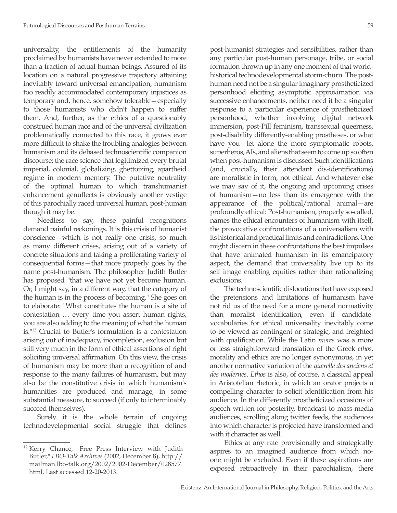universality, the entitlements of the humanity proclaimed by humanists have never extended to more than a fraction of actual human beings. Assured of its location on a natural progressive trajectory attaining inevitably toward universal emancipation, humanism too readily accommodated contemporary injustices as temporary and, hence, somehow tolerable—especially to those humanists who didn't happen to suffer them. And, further, as the ethics of a questionably construed human race and of the universal civilization problematically connected to this race, it grows ever more difficult to shake the troubling analogies between humanism and its debased technoscientific companion discourse: the race science that legitimized every brutal imperial, colonial, globalizing, ghettoizing, apartheid regime in modern memory. The putative neutrality of the optimal human to which transhumanist enhancement genuflects is obviously another vestige of this parochially raced universal human, post-human though it may be.

Needless to say, these painful recognitions demand painful reckonings. It is this crisis of humanist conscience—which is not really one crisis, so much as many different crises, arising out of a variety of concrete situations and taking a proliferating variety of consequential forms—that more properly goes by the name post-humanism. The philosopher Judith Butler has proposed "that we have not yet become human. Or, I might say, in a different way, that the category of the human is in the process of becoming." She goes on to elaborate: "What constitutes the human is a site of contestation … every time you assert human rights, you are also adding to the meaning of what the human is."12 Crucial to Butler's formulation is a contestation arising out of inadequacy, incompletion, exclusion but still very much in the form of ethical assertions of right soliciting universal affirmation. On this view, the crisis of humanism may be more than a recognition of and response to the many failures of humanism, but may also be the constitutive crisis in which humanism's humanities are produced and manage, in some substantial measure, to succeed (if only to interminably succeed themselves).

Surely it is the whole terrain of ongoing technodevelopmental social struggle that defines post-humanist strategies and sensibilities, rather than any particular post-human personage, tribe, or social formation thrown up in any one moment of that worldhistorical technodevelopmental storm-churn. The posthuman need not be a singular imaginary prostheticized personhood eliciting asymptotic approximation via successive enhancements, neither need it be a singular response to a particular experience of prostheticized personhood, whether involving digital network immersion, post-Pill feminism, transsexual queerness, post-disability differently-enabling prostheses, or what have you—let alone the more symptomatic robots, superheros, AIs, and aliens that seem to come up so often when post-humanism is discussed. Such identifications (and, crucially, their attendant dis-identifications) are moralistic in form, not ethical. And whatever else we may say of it, the ongoing and upcoming crises of humanism—no less than its emergence with the appearance of the political/rational animal—are profoundly ethical: Post-humanism, properly so-called, names the ethical encounters of humanism with itself, the provocative confrontations of a universalism with its historical and practical limits and contradictions. One might discern in these confrontations the best impulses that have animated humanism in its emancipatory aspect, the demand that universality live up to its self image enabling equities rather than rationalizing exclusions.

The technoscientific dislocations that have exposed the pretensions and limitations of humanism have not rid us of the need for a more general normativity than moralist identification, even if candidatevocabularies for ethical universality inevitably come to be viewed as contingent or strategic, and freighted with qualification. While the Latin *mores* was a more or less straightforward translation of the Greek *ethos*, morality and ethics are no longer synonymous, in yet another normative variation of the *querelle des anciens et des modernes*. *Ethos* is also, of course, a classical appeal in Aristotelian rhetoric, in which an orator projects a compelling character to solicit identification from his audience. In the differently prostheticized occasions of speech written for posterity, broadcast to mass-media audiences, scrolling along twitter feeds, the audiences into which character is projected have transformed and with it character as well.

Ethics at any rate provisionally and strategically aspires to an imagined audience from which noone might be excluded. Even if these aspirations are exposed retroactively in their parochialism, there

<sup>&</sup>lt;sup>12</sup> Kerry Chance, "Free Press Interview with Judith Butler," *LBO-Talk Archives* (2002, December 8), http:// mailman.lbo-talk.org/2002/2002-December/028577. html. Last accessed 12-20-2013.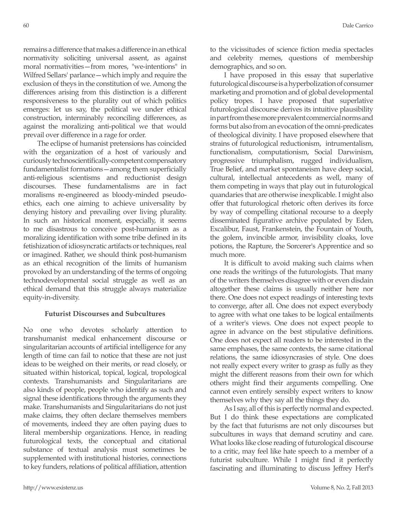remains a difference that makes a difference in an ethical normativity soliciting universal assent, as against moral normativities—from mores, "we-intentions" in Wilfred Sellars' parlance—which imply and require the exclusion of theys in the constitution of we. Among the differences arising from this distinction is a different responsiveness to the plurality out of which politics emerges: let us say, the political we under ethical construction, interminably reconciling differences, as against the moralizing anti-political we that would prevail over difference in a rage for order.

The eclipse of humanist pretensions has coincided with the organization of a host of variously and curiously technoscientifically-competent compensatory fundamentalist formations—among them superficially anti-religious scientisms and reductionist design discourses. These fundamentalisms are in fact moralisms re-engineered as bloody-minded pseudoethics, each one aiming to achieve universality by denying history and prevailing over living plurality. In such an historical moment, especially, it seems to me disastrous to conceive post-humanism as a moralizing identification with some tribe defined in its fetishization of idiosyncratic artifacts or techniques, real or imagined. Rather, we should think post-humanism as an ethical recognition of the limits of humanism provoked by an understanding of the terms of ongoing technodevelopmental social struggle as well as an ethical demand that this struggle always materialize equity-in-diversity.

## **Futurist Discourses and Subcultures**

No one who devotes scholarly attention to transhumanist medical enhancement discourse or singularitarian accounts of artificial intelligence for any length of time can fail to notice that these are not just ideas to be weighed on their merits, or read closely, or situated within historical, topical, logical, tropological contexts. Transhumanists and Singularitarians are also kinds of people, people who identify as such and signal these identifications through the arguments they make. Transhumanists and Singularitarians do not just make claims, they often declare themselves members of movements, indeed they are often paying dues to literal membership organizations. Hence, in reading futurological texts, the conceptual and citational substance of textual analysis must sometimes be supplemented with institutional histories, connections to key funders, relations of political affiliation, attention

to the vicissitudes of science fiction media spectacles and celebrity memes, questions of membership demographics, and so on.

I have proposed in this essay that superlative futurological discourse is a hyperbolization of consumer marketing and promotion and of global developmental policy tropes. I have proposed that superlative futurological discourse derives its intuitive plausibility in part from these more prevalent commercial norms and forms but also from an evocation of the omni-predicates of theological divinity. I have proposed elsewhere that strains of futurological reductionism, intrumentalism, functionalism, computationism, Social Darwinism, progressive triumphalism, rugged individualism, True Belief, and market spontaneism have deep social, cultural, intellectual antecedents as well, many of them competing in ways that play out in futurological quandaries that are otherwise inexplicable. I might also offer that futurological rhetoric often derives its force by way of compelling citational recourse to a deeply disseminated figurative archive populated by Eden, Excalibur, Faust, Frankenstein, the Fountain of Youth, the golem, invincible armor, invisibility cloaks, love potions, the Rapture, the Sorcerer's Apprentice and so much more.

It is difficult to avoid making such claims when one reads the writings of the futurologists. That many of the writers themselves disagree with or even disdain altogether these claims is usually neither here nor there. One does not expect readings of interesting texts to converge, after all. One does not expect everybody to agree with what one takes to be logical entailments of a writer's views. One does not expect people to agree in advance on the best stipulative definitions. One does not expect all readers to be interested in the same emphases, the same contexts, the same citational relations, the same idiosyncrasies of style. One does not really expect every writer to grasp as fully as they might the different reasons from their own for which others might find their arguments compelling. One cannot even entirely sensibly expect writers to know themselves why they say all the things they do.

As I say, all of this is perfectly normal and expected. But I do think these expectations are complicated by the fact that futurisms are not only discourses but subcultures in ways that demand scrutiny and care. What looks like close reading of futurological discourse to a critic, may feel like hate speech to a member of a futurist subculture. While I might find it perfectly fascinating and illuminating to discuss Jeffrey Herf's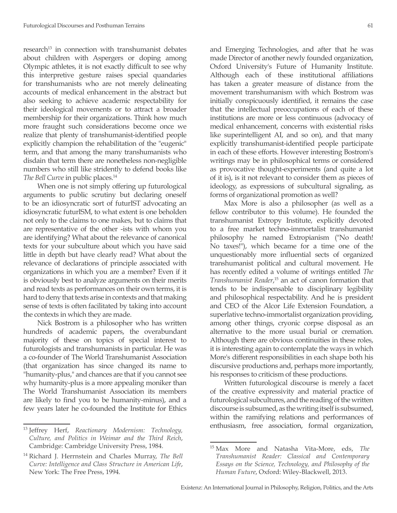research<sup>13</sup> in connection with transhumanist debates about children with Aspergers or doping among Olympic athletes, it is not exactly difficult to see why this interpretive gesture raises special quandaries for transhumanists who are not merely delineating accounts of medical enhancement in the abstract but also seeking to achieve academic respectability for their ideological movements or to attract a broader membership for their organizations. Think how much more fraught such considerations become once we realize that plenty of transhumanist-identified people explicitly champion the rehabilitation of the "eugenic" term, and that among the many transhumanists who disdain that term there are nonetheless non-negligible numbers who still like stridently to defend books like The Bell Curve in public places.<sup>14</sup>

When one is not simply offering up futurological arguments to public scrutiny but declaring oneself to be an idiosyncratic sort of futurIST advocating an idiosyncratic futurISM, to what extent is one beholden not only to the claims to one makes, but to claims that are representative of the other -ists with whom you are identifying? What about the relevance of canonical texts for your subculture about which you have said little in depth but have clearly read? What about the relevance of declarations of principle associated with organizations in which you are a member? Even if it is obviously best to analyze arguments on their merits and read texts as performances on their own terms, it is hard to deny that texts arise in contexts and that making sense of texts is often facilitated by taking into account the contexts in which they are made.

Nick Bostrom is a philosopher who has written hundreds of academic papers, the overabundant majority of these on topics of special interest to futurologists and transhumanists in particular. He was a co-founder of The World Transhumanist Association (that organization has since changed its name to "humanity-plus," and chances are that if you cannot see why humanity-plus is a more appealing moniker than The World Transhumanist Association its members are likely to find you to be humanity-minus), and a few years later he co-founded the Institute for Ethics

and Emerging Technologies, and after that he was made Director of another newly founded organization, Oxford University's Future of Humanity Institute. Although each of these institutional affiliations has taken a greater measure of distance from the movement transhumanism with which Bostrom was initially conspicuously identified, it remains the case that the intellectual preoccupations of each of these institutions are more or less continuous (advocacy of medical enhancement, concerns with existential risks like superintelligent AI, and so on), and that many explicitly transhumanist-identified people participate in each of these efforts. However interesting Bostrom's writings may be in philosophical terms or considered as provocative thought-experiments (and quite a lot of it is), is it not relevant to consider them as pieces of ideology, as expressions of subcultural signaling, as forms of organizational promotion as well?

Max More is also a philosopher (as well as a fellow contributor to this volume). He founded the transhumanist Extropy Institute, explicitly devoted to a free market techno-immortalist transhumanist philosophy he named Extropianism ("No death! No taxes!"), which became for a time one of the unquestionably more influential sects of organized transhumanist political and cultural movement. He has recently edited a volume of writings entitled *The Transhumanist Reader*, <sup>15</sup> an act of canon formation that tends to be indispensable to disciplinary legibility and philosophical respectability. And he is president and CEO of the Alcor Life Extension Foundation, a superlative techno-immortalist organization providing, among other things, cryonic corpse disposal as an alternative to the more usual burial or cremation. Although there are obvious continuities in these roles, it is interesting again to contemplate the ways in which More's different responsibilities in each shape both his discursive productions and, perhaps more importantly, his responses to criticism of these productions.

Written futurological discourse is merely a facet of the creative expressivity and material practice of futurological subcultures, and the reading of the written discourse is subsumed, as the writing itself is subsumed, within the ramifying relations and performances of enthusiasm, free association, formal organization,

<sup>13</sup> Jeffrey Herf, *Reactionary Modernism: Technology, Culture, and Politics in Weimar and the Third Reich*, Cambridge: Cambridge University Press, 1984.

<sup>14</sup> Richard J. Herrnstein and Charles Murray, *The Bell Curve: Intelligence and Class Structure in American Life*, New York: The Free Press, 1994.

<sup>15</sup> Max More and Natasha Vita-More, eds, *The Transhumanist Reader: Classical and Contemporary Essays on the Science, Technology, and Philosophy of the Human Future*, Oxford: Wiley-Blackwell, 2013.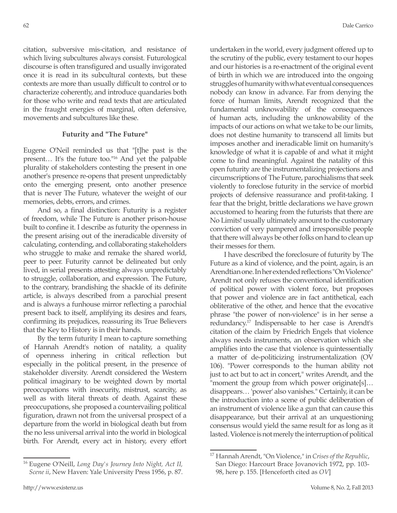citation, subversive mis-citation, and resistance of which living subcultures always consist. Futurological discourse is often transfigured and usually invigorated once it is read in its subcultural contexts, but these contexts are more than usually difficult to control or to characterize coherently, and introduce quandaries both for those who write and read texts that are articulated in the fraught energies of marginal, often defensive, movements and subcultures like these.

### **Futurity and "The Future"**

Eugene O'Neil reminded us that "[t]he past is the present… It's the future too."16 And yet the palpable plurality of stakeholders contesting the present in one another's presence re-opens that present unpredictably onto the emerging present, onto another presence that is never The Future, whatever the weight of our memories, debts, errors, and crimes.

And so, a final distinction: Futurity is a register of freedom, while The Future is another prison-house built to confine it. I describe as futurity the openness in the present arising out of the ineradicable diversity of calculating, contending, and collaborating stakeholders who struggle to make and remake the shared world, peer to peer. Futurity cannot be delineated but only lived, in serial presents attesting always unpredictably to struggle, collaboration, and expression. The Future, to the contrary, brandishing the shackle of its definite article, is always described from a parochial present and is always a funhouse mirror reflecting a parochial present back to itself, amplifying its desires and fears, confirming its prejudices, reassuring its True Believers that the Key to History is in their hands.

By the term futurity I mean to capture something of Hannah Arendt's notion of natality, a quality of openness inhering in critical reflection but especially in the political present, in the presence of stakeholder diversity. Arendt considered the Western political imaginary to be weighted down by mortal preoccupations with insecurity, mistrust, scarcity, as well as with literal threats of death. Against these preoccupations, she proposed a countervailing political figuration, drawn not from the universal prospect of a departure from the world in biological death but from the no less universal arrival into the world in biological birth. For Arendt, every act in history, every effort

undertaken in the world, every judgment offered up to the scrutiny of the public, every testament to our hopes and our histories is a re-enactment of the original event of birth in which we are introduced into the ongoing struggles of humanity with what eventual consequences nobody can know in advance. Far from denying the force of human limits, Arendt recognized that the fundamental unknowability of the consequences of human acts, including the unknowability of the impacts of our actions on what we take to be our limits, does not destine humanity to transcend all limits but imposes another and ineradicable limit on humanity's knowledge of what it is capable of and what it might come to find meaningful. Against the natality of this open futurity are the instrumentalizing projections and circumscriptions of The Future, parochialisms that seek violently to foreclose futurity in the service of morbid projects of defensive reassurance and profit-taking. I fear that the bright, brittle declarations we have grown accustomed to hearing from the futurists that there are No Limits! usually ultimately amount to the customary conviction of very pampered and irresponsible people that there will always be other folks on hand to clean up their messes for them.

I have described the foreclosure of futurity by The Future as a kind of violence, and the point, again, is an Arendtian one. In her extended reflections "On Violence" Arendt not only refuses the conventional identification of political power with violent force, but proposes that power and violence are in fact antithetical, each obliterative of the other, and hence that the evocative phrase "the power of non-violence" is in her sense a redundancy.17 Indispensable to her case is Arendt's citation of the claim by Friedrich Engels that violence always needs instruments, an observation which she amplifies into the case that violence is quintessentially a matter of de-politicizing instrumentalization (OV 106). "Power corresponds to the human ability not just to act but to act in concert," writes Arendt, and the "moment the group from which power originate[s]… disappears… 'power' also vanishes." Certainly, it can be the introduction into a scene of public deliberation of an instrument of violence like a gun that can cause this disappearance, but their arrival at an unquestioning consensus would yield the same result for as long as it lasted. Violence is not merely the interruption of political

<sup>16</sup> Eugene O'Neill, *Long Day's Journey Into Night, Act II, Scene ii*, New Haven: Yale University Press 1956, p. 87.

<sup>17</sup> Hannah Arendt, "On Violence," in *Crises of the Republic*, San Diego: Harcourt Brace Jovanovich 1972, pp. 103- 98, here p. 155. [Henceforth cited as *OV*]